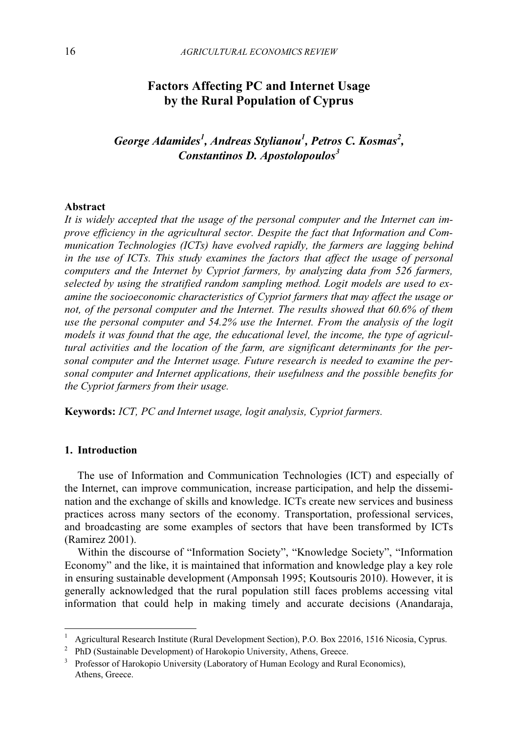## Factors Affecting PC and Internet Usage by the Rural Population of Cyprus

George Adamides<sup>1</sup>, Andreas Stylianou<sup>1</sup>, Petros C. Kosmas<sup>2</sup>, Constantinos D. Apostolopoulos $3$ 

## Abstract

It is widely accepted that the usage of the personal computer and the Internet can improve efficiency in the agricultural sector. Despite the fact that Information and Communication Technologies (ICTs) have evolved rapidly, the farmers are lagging behind in the use of ICTs. This study examines the factors that affect the usage of personal computers and the Internet by Cypriot farmers, by analyzing data from 526 farmers, selected by using the stratified random sampling method. Logit models are used to examine the socioeconomic characteristics of Cypriot farmers that may affect the usage or not, of the personal computer and the Internet. The results showed that 60.6% of them use the personal computer and 54.2% use the Internet. From the analysis of the logit models it was found that the age, the educational level, the income, the type of agricultural activities and the location of the farm, are significant determinants for the personal computer and the Internet usage. Future research is needed to examine the personal computer and Internet applications, their usefulness and the possible benefits for the Cypriot farmers from their usage.

Keywords: ICT, PC and Internet usage, logit analysis, Cypriot farmers.

#### 1. Introduction

-

 The use of Information and Communication Technologies (ICT) and especially of the Internet, can improve communication, increase participation, and help the dissemination and the exchange of skills and knowledge. ICTs create new services and business practices across many sectors of the economy. Transportation, professional services, and broadcasting are some examples of sectors that have been transformed by ICTs (Ramirez 2001).

 Within the discourse of "Information Society", "Knowledge Society", "Information Economy" and the like, it is maintained that information and knowledge play a key role in ensuring sustainable development (Amponsah 1995; Koutsouris 2010). However, it is generally acknowledged that the rural population still faces problems accessing vital information that could help in making timely and accurate decisions (Anandaraja,

<sup>1</sup> Agricultural Research Institute (Rural Development Section), P.O. Box 22016, 1516 Nicosia, Cyprus.

<sup>2</sup> PhD (Sustainable Development) of Harokopio University, Athens, Greece.

<sup>&</sup>lt;sup>3</sup> Professor of Harokopio University (Laboratory of Human Ecology and Rural Economics), Athens, Greece.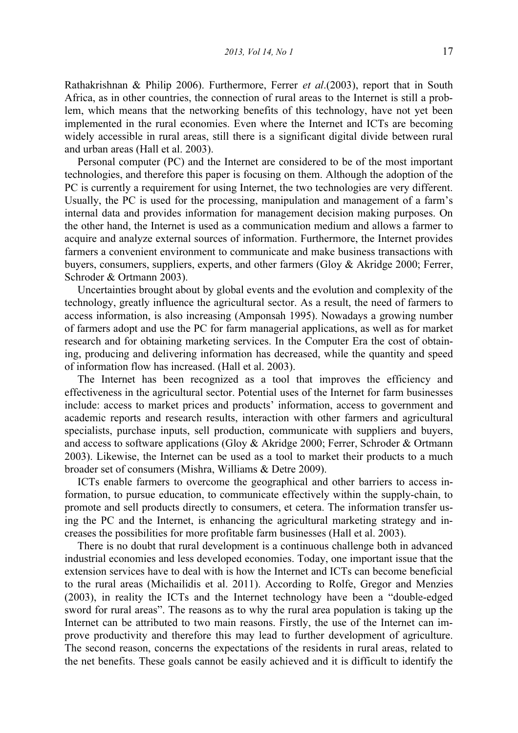Rathakrishnan & Philip 2006). Furthermore, Ferrer et al.(2003), report that in South Africa, as in other countries, the connection of rural areas to the Internet is still a problem, which means that the networking benefits of this technology, have not yet been implemented in the rural economies. Even where the Internet and ICTs are becoming widely accessible in rural areas, still there is a significant digital divide between rural and urban areas (Hall et al. 2003).

 Personal computer (PC) and the Internet are considered to be of the most important technologies, and therefore this paper is focusing on them. Although the adoption of the PC is currently a requirement for using Internet, the two technologies are very different. Usually, the PC is used for the processing, manipulation and management of a farm's internal data and provides information for management decision making purposes. On the other hand, the Internet is used as a communication medium and allows a farmer to acquire and analyze external sources of information. Furthermore, the Internet provides farmers a convenient environment to communicate and make business transactions with buyers, consumers, suppliers, experts, and other farmers (Gloy & Akridge 2000; Ferrer, Schroder & Ortmann 2003).

 Uncertainties brought about by global events and the evolution and complexity of the technology, greatly influence the agricultural sector. As a result, the need of farmers to access information, is also increasing (Amponsah 1995). Nowadays a growing number of farmers adopt and use the PC for farm managerial applications, as well as for market research and for obtaining marketing services. In the Computer Era the cost of obtaining, producing and delivering information has decreased, while the quantity and speed of information flow has increased. (Hall et al. 2003).

 The Internet has been recognized as a tool that improves the efficiency and effectiveness in the agricultural sector. Potential uses of the Internet for farm businesses include: access to market prices and products' information, access to government and academic reports and research results, interaction with other farmers and agricultural specialists, purchase inputs, sell production, communicate with suppliers and buyers, and access to software applications (Gloy & Akridge 2000; Ferrer, Schroder & Ortmann 2003). Likewise, the Internet can be used as a tool to market their products to a much broader set of consumers (Mishra, Williams & Detre 2009).

 ICTs enable farmers to overcome the geographical and other barriers to access information, to pursue education, to communicate effectively within the supply-chain, to promote and sell products directly to consumers, et cetera. The information transfer using the PC and the Internet, is enhancing the agricultural marketing strategy and increases the possibilities for more profitable farm businesses (Hall et al. 2003).

 There is no doubt that rural development is a continuous challenge both in advanced industrial economies and less developed economies. Today, one important issue that the extension services have to deal with is how the Internet and ICTs can become beneficial to the rural areas (Michailidis et al. 2011). According to Rolfe, Gregor and Menzies (2003), in reality the ICTs and the Internet technology have been a "double-edged sword for rural areas". The reasons as to why the rural area population is taking up the Internet can be attributed to two main reasons. Firstly, the use of the Internet can improve productivity and therefore this may lead to further development of agriculture. The second reason, concerns the expectations of the residents in rural areas, related to the net benefits. These goals cannot be easily achieved and it is difficult to identify the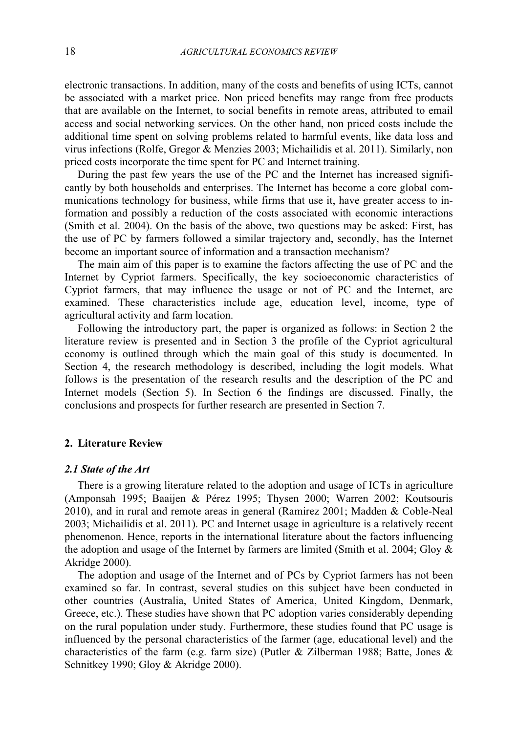electronic transactions. In addition, many of the costs and benefits of using ICTs, cannot be associated with a market price. Non priced benefits may range from free products that are available on the Internet, to social benefits in remote areas, attributed to email access and social networking services. On the other hand, non priced costs include the additional time spent on solving problems related to harmful events, like data loss and virus infections (Rolfe, Gregor & Menzies 2003; Michailidis et al. 2011). Similarly, non priced costs incorporate the time spent for PC and Internet training.

 During the past few years the use of the PC and the Internet has increased significantly by both households and enterprises. The Internet has become a core global communications technology for business, while firms that use it, have greater access to information and possibly a reduction of the costs associated with economic interactions (Smith et al. 2004). On the basis of the above, two questions may be asked: First, has the use of PC by farmers followed a similar trajectory and, secondly, has the Internet become an important source of information and a transaction mechanism?

 The main aim of this paper is to examine the factors affecting the use of PC and the Internet by Cypriot farmers. Specifically, the key socioeconomic characteristics of Cypriot farmers, that may influence the usage or not of PC and the Internet, are examined. These characteristics include age, education level, income, type of agricultural activity and farm location.

 Following the introductory part, the paper is organized as follows: in Section 2 the literature review is presented and in Section 3 the profile of the Cypriot agricultural economy is outlined through which the main goal of this study is documented. In Section 4, the research methodology is described, including the logit models. What follows is the presentation of the research results and the description of the PC and Internet models (Section 5). In Section 6 the findings are discussed. Finally, the conclusions and prospects for further research are presented in Section 7.

## 2. Literature Review

#### 2.1 State of the Art

 There is a growing literature related to the adoption and usage of ICTs in agriculture (Amponsah 1995; Baaijen & Pérez 1995; Thysen 2000; Warren 2002; Koutsouris 2010), and in rural and remote areas in general (Ramirez 2001; Madden & Coble-Neal 2003; Michailidis et al. 2011). PC and Internet usage in agriculture is a relatively recent phenomenon. Hence, reports in the international literature about the factors influencing the adoption and usage of the Internet by farmers are limited (Smith et al. 2004; Gloy & Akridge 2000).

 The adoption and usage of the Internet and of PCs by Cypriot farmers has not been examined so far. In contrast, several studies on this subject have been conducted in other countries (Australia, United States of America, United Kingdom, Denmark, Greece, etc.). These studies have shown that PC adoption varies considerably depending on the rural population under study. Furthermore, these studies found that PC usage is influenced by the personal characteristics of the farmer (age, educational level) and the characteristics of the farm (e.g. farm size) (Putler & Zilberman 1988; Batte, Jones & Schnitkey 1990; Gloy & Akridge 2000).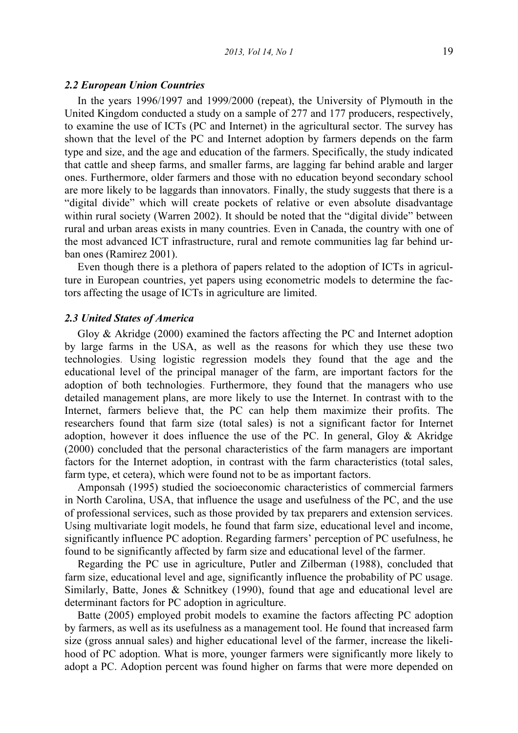#### 2.2 European Union Countries

 In the years 1996/1997 and 1999/2000 (repeat), the University of Plymouth in the United Kingdom conducted a study on a sample of 277 and 177 producers, respectively, to examine the use of ICTs (PC and Internet) in the agricultural sector. The survey has shown that the level of the PC and Internet adoption by farmers depends on the farm type and size, and the age and education of the farmers. Specifically, the study indicated that cattle and sheep farms, and smaller farms, are lagging far behind arable and larger ones. Furthermore, older farmers and those with no education beyond secondary school are more likely to be laggards than innovators. Finally, the study suggests that there is a "digital divide" which will create pockets of relative or even absolute disadvantage within rural society (Warren 2002). It should be noted that the "digital divide" between rural and urban areas exists in many countries. Even in Canada, the country with one of the most advanced ICT infrastructure, rural and remote communities lag far behind urban ones (Ramirez 2001).

 Even though there is a plethora of papers related to the adoption of ICTs in agriculture in European countries, yet papers using econometric models to determine the factors affecting the usage of ICTs in agriculture are limited.

## 2.3 United States of America

 Gloy & Akridge (2000) examined the factors affecting the PC and Internet adoption by large farms in the USA, as well as the reasons for which they use these two technologies. Using logistic regression models they found that the age and the educational level of the principal manager of the farm, are important factors for the adoption of both technologies. Furthermore, they found that the managers who use detailed management plans, are more likely to use the Internet. In contrast with to the Internet, farmers believe that, the PC can help them maximize their profits. The researchers found that farm size (total sales) is not a significant factor for Internet adoption, however it does influence the use of the PC. In general, Gloy & Akridge (2000) concluded that the personal characteristics of the farm managers are important factors for the Internet adoption, in contrast with the farm characteristics (total sales, farm type, et cetera), which were found not to be as important factors.

 Amponsah (1995) studied the socioeconomic characteristics of commercial farmers in North Carolina, USA, that influence the usage and usefulness of the PC, and the use of professional services, such as those provided by tax preparers and extension services. Using multivariate logit models, he found that farm size, educational level and income, significantly influence PC adoption. Regarding farmers' perception of PC usefulness, he found to be significantly affected by farm size and educational level of the farmer.

Regarding the PC use in agriculture, Putler and Zilberman (1988), concluded that farm size, educational level and age, significantly influence the probability of PC usage. Similarly, Batte, Jones & Schnitkey (1990), found that age and educational level are determinant factors for PC adoption in agriculture.

 Batte (2005) employed probit models to examine the factors affecting PC adoption by farmers, as well as its usefulness as a management tool. He found that increased farm size (gross annual sales) and higher educational level of the farmer, increase the likelihood of PC adoption. What is more, younger farmers were significantly more likely to adopt a PC. Adoption percent was found higher on farms that were more depended on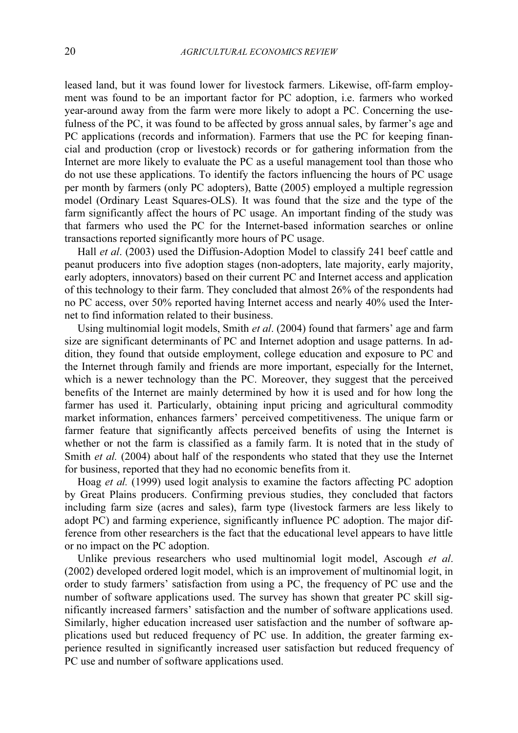leased land, but it was found lower for livestock farmers. Likewise, off-farm employment was found to be an important factor for PC adoption, i.e. farmers who worked year-around away from the farm were more likely to adopt a PC. Concerning the usefulness of the PC, it was found to be affected by gross annual sales, by farmer's age and PC applications (records and information). Farmers that use the PC for keeping financial and production (crop or livestock) records or for gathering information from the Internet are more likely to evaluate the PC as a useful management tool than those who do not use these applications. To identify the factors influencing the hours of PC usage per month by farmers (only PC adopters), Batte (2005) employed a multiple regression model (Ordinary Least Squares-OLS). It was found that the size and the type of the farm significantly affect the hours of PC usage. An important finding of the study was that farmers who used the PC for the Internet-based information searches or online transactions reported significantly more hours of PC usage.

Hall et al. (2003) used the Diffusion-Adoption Model to classify 241 beef cattle and peanut producers into five adoption stages (non-adopters, late majority, early majority, early adopters, innovators) based on their current PC and Internet access and application of this technology to their farm. They concluded that almost 26% of the respondents had no PC access, over 50% reported having Internet access and nearly 40% used the Internet to find information related to their business.

 Using multinomial logit models, Smith et al. (2004) found that farmers' age and farm size are significant determinants of PC and Internet adoption and usage patterns. In addition, they found that outside employment, college education and exposure to PC and the Internet through family and friends are more important, especially for the Internet, which is a newer technology than the PC. Moreover, they suggest that the perceived benefits of the Internet are mainly determined by how it is used and for how long the farmer has used it. Particularly, obtaining input pricing and agricultural commodity market information, enhances farmers' perceived competitiveness. The unique farm or farmer feature that significantly affects perceived benefits of using the Internet is whether or not the farm is classified as a family farm. It is noted that in the study of Smith *et al.* (2004) about half of the respondents who stated that they use the Internet for business, reported that they had no economic benefits from it.

 Hoag et al. (1999) used logit analysis to examine the factors affecting PC adoption by Great Plains producers. Confirming previous studies, they concluded that factors including farm size (acres and sales), farm type (livestock farmers are less likely to adopt PC) and farming experience, significantly influence PC adoption. The major difference from other researchers is the fact that the educational level appears to have little or no impact on the PC adoption.

Unlike previous researchers who used multinomial logit model, Ascough et al. (2002) developed ordered logit model, which is an improvement of multinomial logit, in order to study farmers' satisfaction from using a PC, the frequency of PC use and the number of software applications used. The survey has shown that greater PC skill significantly increased farmers' satisfaction and the number of software applications used. Similarly, higher education increased user satisfaction and the number of software applications used but reduced frequency of PC use. In addition, the greater farming experience resulted in significantly increased user satisfaction but reduced frequency of PC use and number of software applications used.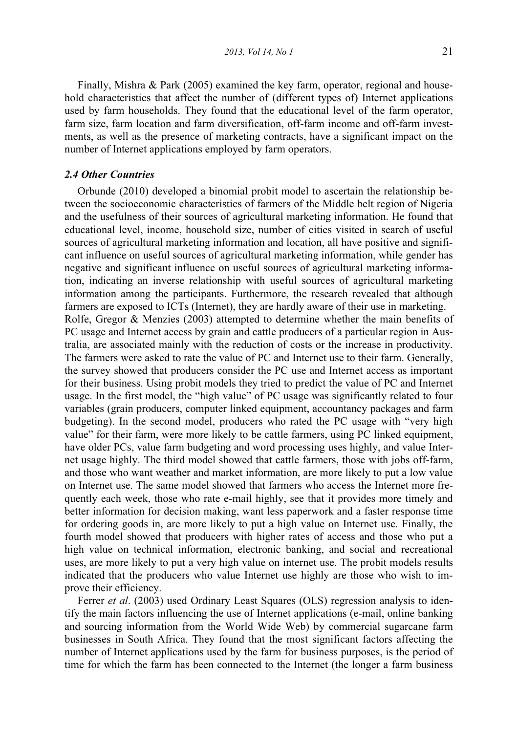Finally, Mishra & Park (2005) examined the key farm, operator, regional and household characteristics that affect the number of (different types of) Internet applications used by farm households. They found that the educational level of the farm operator, farm size, farm location and farm diversification, off-farm income and off-farm investments, as well as the presence of marketing contracts, have a significant impact on the number of Internet applications employed by farm operators.

## 2.4 Other Countries

 Orbunde (2010) developed a binomial probit model to ascertain the relationship between the socioeconomic characteristics of farmers of the Middle belt region of Nigeria and the usefulness of their sources of agricultural marketing information. He found that educational level, income, household size, number of cities visited in search of useful sources of agricultural marketing information and location, all have positive and significant influence on useful sources of agricultural marketing information, while gender has negative and significant influence on useful sources of agricultural marketing information, indicating an inverse relationship with useful sources of agricultural marketing information among the participants. Furthermore, the research revealed that although farmers are exposed to ICTs (Internet), they are hardly aware of their use in marketing. Rolfe, Gregor & Menzies (2003) attempted to determine whether the main benefits of PC usage and Internet access by grain and cattle producers of a particular region in Australia, are associated mainly with the reduction of costs or the increase in productivity. The farmers were asked to rate the value of PC and Internet use to their farm. Generally, the survey showed that producers consider the PC use and Internet access as important for their business. Using probit models they tried to predict the value of PC and Internet usage. In the first model, the "high value" of PC usage was significantly related to four variables (grain producers, computer linked equipment, accountancy packages and farm budgeting). In the second model, producers who rated the PC usage with "very high value" for their farm, were more likely to be cattle farmers, using PC linked equipment, have older PCs, value farm budgeting and word processing uses highly, and value Internet usage highly. The third model showed that cattle farmers, those with jobs off-farm, and those who want weather and market information, are more likely to put a low value on Internet use. The same model showed that farmers who access the Internet more frequently each week, those who rate e-mail highly, see that it provides more timely and better information for decision making, want less paperwork and a faster response time for ordering goods in, are more likely to put a high value on Internet use. Finally, the fourth model showed that producers with higher rates of access and those who put a high value on technical information, electronic banking, and social and recreational uses, are more likely to put a very high value on internet use. The probit models results indicated that the producers who value Internet use highly are those who wish to improve their efficiency.

Ferrer et al. (2003) used Ordinary Least Squares (OLS) regression analysis to identify the main factors influencing the use of Internet applications (e-mail, online banking and sourcing information from the World Wide Web) by commercial sugarcane farm businesses in South Africa. They found that the most significant factors affecting the number of Internet applications used by the farm for business purposes, is the period of time for which the farm has been connected to the Internet (the longer a farm business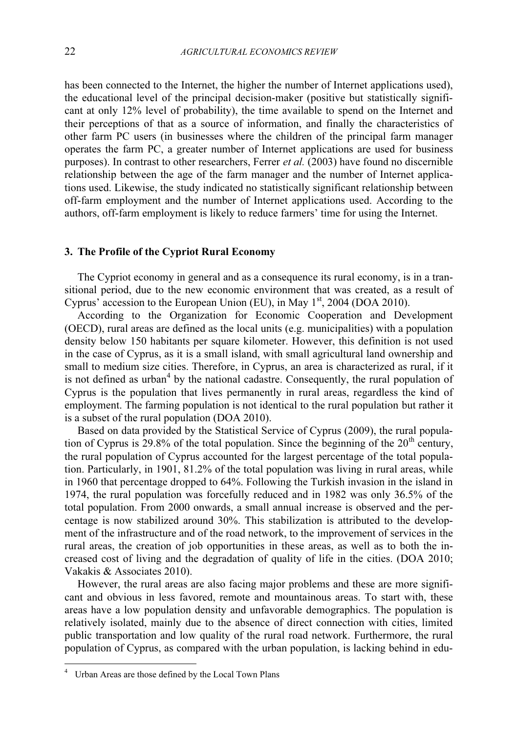has been connected to the Internet, the higher the number of Internet applications used), the educational level of the principal decision-maker (positive but statistically significant at only 12% level of probability), the time available to spend on the Internet and their perceptions of that as a source of information, and finally the characteristics of other farm PC users (in businesses where the children of the principal farm manager operates the farm PC, a greater number of Internet applications are used for business purposes). In contrast to other researchers, Ferrer et al. (2003) have found no discernible relationship between the age of the farm manager and the number of Internet applications used. Likewise, the study indicated no statistically significant relationship between off-farm employment and the number of Internet applications used. According to the authors, off-farm employment is likely to reduce farmers' time for using the Internet.

### 3. The Profile of the Cypriot Rural Economy

 The Cypriot economy in general and as a consequence its rural economy, is in a transitional period, due to the new economic environment that was created, as a result of Cyprus' accession to the European Union (EU), in May  $1<sup>st</sup>$ , 2004 (DOA 2010).

 According to the Organization for Economic Cooperation and Development (OECD), rural areas are defined as the local units (e.g. municipalities) with a population density below 150 habitants per square kilometer. However, this definition is not used in the case of Cyprus, as it is a small island, with small agricultural land ownership and small to medium size cities. Therefore, in Cyprus, an area is characterized as rural, if it is not defined as urban<sup>4</sup> by the national cadastre. Consequently, the rural population of Cyprus is the population that lives permanently in rural areas, regardless the kind of employment. The farming population is not identical to the rural population but rather it is a subset of the rural population (DOA 2010).

 Based on data provided by the Statistical Service of Cyprus (2009), the rural population of Cyprus is  $29.8\%$  of the total population. Since the beginning of the  $20<sup>th</sup>$  century, the rural population of Cyprus accounted for the largest percentage of the total population. Particularly, in 1901, 81.2% of the total population was living in rural areas, while in 1960 that percentage dropped to 64%. Following the Turkish invasion in the island in 1974, the rural population was forcefully reduced and in 1982 was only 36.5% of the total population. From 2000 onwards, a small annual increase is observed and the percentage is now stabilized around 30%. This stabilization is attributed to the development of the infrastructure and of the road network, to the improvement of services in the rural areas, the creation of job opportunities in these areas, as well as to both the increased cost of living and the degradation of quality of life in the cities. (DOA 2010; Vakakis & Associates 2010).

 However, the rural areas are also facing major problems and these are more significant and obvious in less favored, remote and mountainous areas. To start with, these areas have a low population density and unfavorable demographics. The population is relatively isolated, mainly due to the absence of direct connection with cities, limited public transportation and low quality of the rural road network. Furthermore, the rural population of Cyprus, as compared with the urban population, is lacking behind in edu-

-

<sup>4</sup> Urban Areas are those defined by the Local Town Plans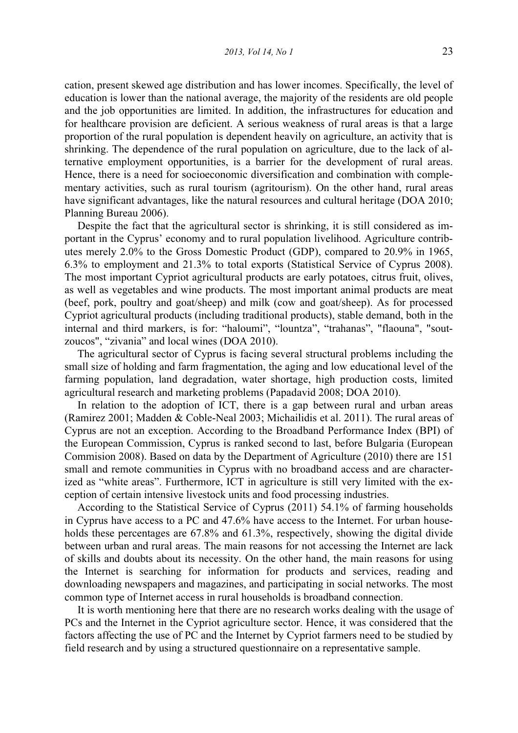cation, present skewed age distribution and has lower incomes. Specifically, the level of education is lower than the national average, the majority of the residents are old people and the job opportunities are limited. In addition, the infrastructures for education and for healthcare provision are deficient. A serious weakness of rural areas is that a large proportion of the rural population is dependent heavily on agriculture, an activity that is shrinking. The dependence of the rural population on agriculture, due to the lack of alternative employment opportunities, is a barrier for the development of rural areas. Hence, there is a need for socioeconomic diversification and combination with complementary activities, such as rural tourism (agritourism). On the other hand, rural areas have significant advantages, like the natural resources and cultural heritage (DOA 2010; Planning Bureau 2006).

 Despite the fact that the agricultural sector is shrinking, it is still considered as important in the Cyprus' economy and to rural population livelihood. Agriculture contributes merely 2.0% to the Gross Domestic Product (GDP), compared to 20.9% in 1965, 6.3% to employment and 21.3% to total exports (Statistical Service of Cyprus 2008). The most important Cypriot agricultural products are early potatoes, citrus fruit, olives, as well as vegetables and wine products. The most important animal products are meat (beef, pork, poultry and goat/sheep) and milk (cow and goat/sheep). As for processed Cypriot agricultural products (including traditional products), stable demand, both in the internal and third markers, is for: "haloumi", "lountza", "trahanas", "flaouna", "soutzoucos", "zivania" and local wines (DOA 2010).

 The agricultural sector of Cyprus is facing several structural problems including the small size of holding and farm fragmentation, the aging and low educational level of the farming population, land degradation, water shortage, high production costs, limited agricultural research and marketing problems (Papadavid 2008; DOA 2010).

 In relation to the adoption of ICT, there is a gap between rural and urban areas (Ramirez 2001; Madden & Coble-Neal 2003; Michailidis et al. 2011). The rural areas of Cyprus are not an exception. According to the Broadband Performance Index (BPI) of the European Commission, Cyprus is ranked second to last, before Bulgaria (European Commision 2008). Based on data by the Department of Agriculture (2010) there are 151 small and remote communities in Cyprus with no broadband access and are characterized as "white areas". Furthermore, ICT in agriculture is still very limited with the exception of certain intensive livestock units and food processing industries.

 According to the Statistical Service of Cyprus (2011) 54.1% of farming households in Cyprus have access to a PC and 47.6% have access to the Internet. For urban households these percentages are 67.8% and 61.3%, respectively, showing the digital divide between urban and rural areas. The main reasons for not accessing the Internet are lack of skills and doubts about its necessity. On the other hand, the main reasons for using the Internet is searching for information for products and services, reading and downloading newspapers and magazines, and participating in social networks. The most common type of Internet access in rural households is broadband connection.

 It is worth mentioning here that there are no research works dealing with the usage of PCs and the Internet in the Cypriot agriculture sector. Hence, it was considered that the factors affecting the use of PC and the Internet by Cypriot farmers need to be studied by field research and by using a structured questionnaire on a representative sample.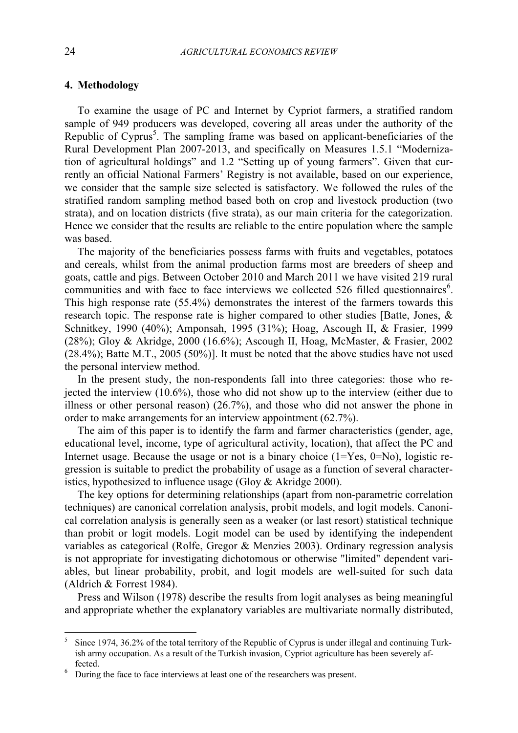## 4. Methodology

 To examine the usage of PC and Internet by Cypriot farmers, a stratified random sample of 949 producers was developed, covering all areas under the authority of the Republic of Cyprus<sup>5</sup>. The sampling frame was based on applicant-beneficiaries of the Rural Development Plan 2007-2013, and specifically on Measures 1.5.1 "Modernization of agricultural holdings" and 1.2 "Setting up of young farmers". Given that currently an official National Farmers' Registry is not available, based on our experience, we consider that the sample size selected is satisfactory. We followed the rules of the stratified random sampling method based both on crop and livestock production (two strata), and on location districts (five strata), as our main criteria for the categorization. Hence we consider that the results are reliable to the entire population where the sample was based.

 The majority of the beneficiaries possess farms with fruits and vegetables, potatoes and cereals, whilst from the animal production farms most are breeders of sheep and goats, cattle and pigs. Between October 2010 and March 2011 we have visited 219 rural communities and with face to face interviews we collected 526 filled questionnaires<sup>6</sup>. This high response rate (55.4%) demonstrates the interest of the farmers towards this research topic. The response rate is higher compared to other studies [Batte, Jones, & Schnitkey, 1990 (40%); Amponsah, 1995 (31%); Hoag, Ascough II, & Frasier, 1999 (28%); Gloy & Akridge, 2000 (16.6%); Ascough II, Hoag, McMaster, & Frasier, 2002 (28.4%); Batte M.T., 2005 (50%)]. It must be noted that the above studies have not used the personal interview method.

 In the present study, the non-respondents fall into three categories: those who rejected the interview (10.6%), those who did not show up to the interview (either due to illness or other personal reason) (26.7%), and those who did not answer the phone in order to make arrangements for an interview appointment (62.7%).

 The aim of this paper is to identify the farm and farmer characteristics (gender, age, educational level, income, type of agricultural activity, location), that affect the PC and Internet usage. Because the usage or not is a binary choice  $(1=Yes, 0=No)$ , logistic regression is suitable to predict the probability of usage as a function of several characteristics, hypothesized to influence usage (Gloy & Akridge 2000).

 The key options for determining relationships (apart from non-parametric correlation techniques) are canonical correlation analysis, probit models, and logit models. Canonical correlation analysis is generally seen as a weaker (or last resort) statistical technique than probit or logit models. Logit model can be used by identifying the independent variables as categorical (Rolfe, Gregor & Menzies 2003). Ordinary regression analysis is not appropriate for investigating dichotomous or otherwise "limited" dependent variables, but linear probability, probit, and logit models are well-suited for such data (Aldrich & Forrest 1984).

 Press and Wilson (1978) describe the results from logit analyses as being meaningful and appropriate whether the explanatory variables are multivariate normally distributed,

-

<sup>5</sup> Since 1974, 36.2% of the total territory of the Republic of Cyprus is under illegal and continuing Turkish army occupation. As a result of the Turkish invasion, Cypriot agriculture has been severely affected.

<sup>&</sup>lt;sup>6</sup> During the face to face interviews at least one of the researchers was present.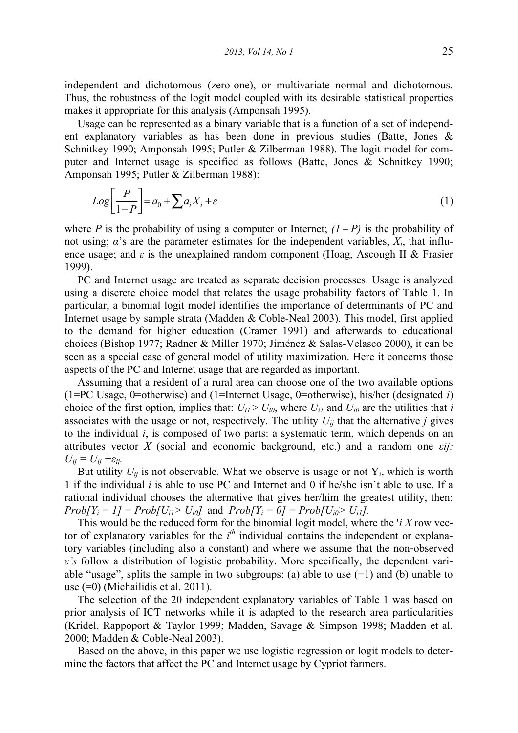independent and dichotomous (zero-one), or multivariate normal and dichotomous. Thus, the robustness of the logit model coupled with its desirable statistical properties makes it appropriate for this analysis (Amponsah 1995).

 Usage can be represented as a binary variable that is a function of a set of independent explanatory variables as has been done in previous studies (Batte, Jones & Schnitkey 1990; Amponsah 1995; Putler & Zilberman 1988). The logit model for computer and Internet usage is specified as follows (Batte, Jones & Schnitkey 1990; Amponsah 1995; Putler & Zilberman 1988):

$$
Log\left[\frac{P}{1-P}\right] = a_0 + \sum a_i X_i + \varepsilon
$$
\n(1)

where P is the probability of using a computer or Internet;  $(1 - P)$  is the probability of not using;  $\alpha$ 's are the parameter estimates for the independent variables,  $X_i$ , that influence usage; and  $\varepsilon$  is the unexplained random component (Hoag, Ascough II & Frasier 1999).

 PC and Internet usage are treated as separate decision processes. Usage is analyzed using a discrete choice model that relates the usage probability factors of Table 1. In particular, a binomial logit model identifies the importance of determinants of PC and Internet usage by sample strata (Madden & Coble-Neal 2003). This model, first applied to the demand for higher education (Cramer 1991) and afterwards to educational choices (Bishop 1977; Radner & Miller 1970; Jiménez & Salas-Velasco 2000), it can be seen as a special case of general model of utility maximization. Here it concerns those aspects of the PC and Internet usage that are regarded as important.

 Assuming that a resident of a rural area can choose one of the two available options (1=PC Usage, 0=otherwise) and (1=Internet Usage, 0=otherwise), his/her (designated i) choice of the first option, implies that:  $U_{i} > U_{i0}$ , where  $U_{i}$  and  $U_{i0}$  are the utilities that i associates with the usage or not, respectively. The utility  $U_{ij}$  that the alternative j gives to the individual i, is composed of two parts: a systematic term, which depends on an attributes vector X (social and economic background, etc.) and a random one  $\varepsilon ij$ .  $U_{ii} = U_{ii} + \varepsilon_{ii}.$ 

But utility  $U_{ii}$  is not observable. What we observe is usage or not  $Y_i$ , which is worth 1 if the individual  $i$  is able to use PC and Internet and 0 if he/she isn't able to use. If a rational individual chooses the alternative that gives her/him the greatest utility, then:  $Prob[Y_i = 1] = Prob[U_{i1} > U_{i0}]$  and  $Prob[Y_i = 0] = Prob[U_{i0} > U_{i1}]$ .

This would be the reduced form for the binomial logit model, where the ' $i X$  row vector of explanatory variables for the  $i<sup>th</sup>$  individual contains the independent or explanatory variables (including also a constant) and where we assume that the non-observed  $\varepsilon$ 's follow a distribution of logistic probability. More specifically, the dependent variable "usage", splits the sample in two subgroups: (a) able to use  $(=1)$  and (b) unable to use (=0) (Michailidis et al. 2011).

 The selection of the 20 independent explanatory variables of Table 1 was based on prior analysis of ICT networks while it is adapted to the research area particularities (Kridel, Rappoport & Taylor 1999; Madden, Savage & Simpson 1998; Madden et al. 2000; Madden & Coble-Neal 2003).

 Based on the above, in this paper we use logistic regression or logit models to determine the factors that affect the PC and Internet usage by Cypriot farmers.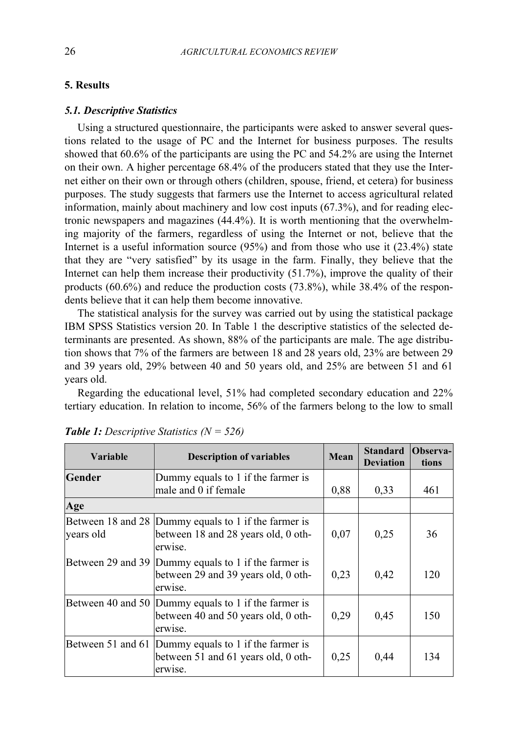## 5. Results

## 5.1. Descriptive Statistics

 Using a structured questionnaire, the participants were asked to answer several questions related to the usage of PC and the Internet for business purposes. The results showed that 60.6% of the participants are using the PC and 54.2% are using the Internet on their own. A higher percentage 68.4% of the producers stated that they use the Internet either on their own or through others (children, spouse, friend, et cetera) for business purposes. The study suggests that farmers use the Internet to access agricultural related information, mainly about machinery and low cost inputs (67.3%), and for reading electronic newspapers and magazines (44.4%). It is worth mentioning that the overwhelming majority of the farmers, regardless of using the Internet or not, believe that the Internet is a useful information source (95%) and from those who use it (23.4%) state that they are "very satisfied" by its usage in the farm. Finally, they believe that the Internet can help them increase their productivity (51.7%), improve the quality of their products (60.6%) and reduce the production costs (73.8%), while 38.4% of the respondents believe that it can help them become innovative.

 The statistical analysis for the survey was carried out by using the statistical package IBM SPSS Statistics version 20. In Table 1 the descriptive statistics of the selected determinants are presented. As shown, 88% of the participants are male. The age distribution shows that 7% of the farmers are between 18 and 28 years old, 23% are between 29 and 39 years old, 29% between 40 and 50 years old, and 25% are between 51 and 61 years old.

 Regarding the educational level, 51% had completed secondary education and 22% tertiary education. In relation to income, 56% of the farmers belong to the low to small

| <b>Variable</b>   | <b>Description of variables</b>                                                                        | Mean | <b>Standard</b><br><b>Deviation</b> | Observa-<br>tions |
|-------------------|--------------------------------------------------------------------------------------------------------|------|-------------------------------------|-------------------|
| Gender            | Dummy equals to 1 if the farmer is<br>male and 0 if female                                             | 0.88 | 0,33                                | 461               |
| Age               |                                                                                                        |      |                                     |                   |
| years old         | Between 18 and 28 Dummy equals to 1 if the farmer is<br>between 18 and 28 years old, 0 oth-<br>erwise. | 0.07 | 0,25                                | 36                |
|                   | Between 29 and 39 Dummy equals to 1 if the farmer is<br>between 29 and 39 years old, 0 oth-<br>erwise. | 0.23 | 0,42                                | 120               |
|                   | Between 40 and 50 Dummy equals to 1 if the farmer is<br>between 40 and 50 years old, 0 oth-<br>erwise. | 0.29 | 0,45                                | 150               |
| Between 51 and 61 | Dummy equals to 1 if the farmer is<br>between 51 and 61 years old, 0 oth-<br>erwise.                   | 0,25 | 0,44                                | 134               |

**Table 1:** Descriptive Statistics  $(N = 526)$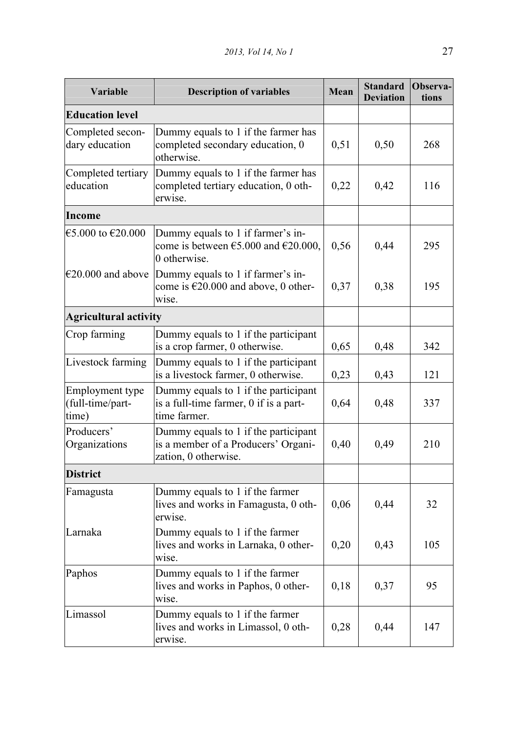| Variable                                     | <b>Description of variables</b>                                                                              | Mean | <b>Standard</b><br><b>Deviation</b> | Observa-<br>tions |
|----------------------------------------------|--------------------------------------------------------------------------------------------------------------|------|-------------------------------------|-------------------|
| <b>Education level</b>                       |                                                                                                              |      |                                     |                   |
| Completed secon-<br>dary education           | Dummy equals to 1 if the farmer has<br>completed secondary education, 0<br>otherwise.                        | 0,51 | 0,50                                | 268               |
| Completed tertiary<br>education              | Dummy equals to 1 if the farmer has<br>completed tertiary education, 0 oth-<br>erwise.                       | 0,22 | 0,42                                | 116               |
| Income                                       |                                                                                                              |      |                                     |                   |
| €5.000 to €20.000                            | Dummy equals to 1 if farmer's in-<br>come is between $\epsilon$ 5.000 and $\epsilon$ 20.000,<br>0 otherwise. | 0,56 | 0,44                                | 295               |
| $€20.000$ and above                          | Dummy equals to 1 if farmer's in-<br>come is €20.000 and above, 0 other-<br>wise.                            | 0,37 | 0,38                                | 195               |
| <b>Agricultural activity</b>                 |                                                                                                              |      |                                     |                   |
| Crop farming                                 | Dummy equals to 1 if the participant<br>is a crop farmer, 0 otherwise.                                       | 0,65 | 0,48                                | 342               |
| Livestock farming                            | Dummy equals to 1 if the participant<br>is a livestock farmer, 0 otherwise.                                  | 0,23 | 0,43                                | 121               |
| Employment type<br>(full-time/part-<br>time) | Dummy equals to 1 if the participant<br>is a full-time farmer, 0 if is a part-<br>time farmer.               | 0,64 | 0,48                                | 337               |
| Producers'<br>Organizations                  | Dummy equals to 1 if the participant<br>is a member of a Producers' Organi-<br>zation, 0 otherwise.          | 0,40 | 0,49                                | 210               |
| <b>District</b>                              |                                                                                                              |      |                                     |                   |
| Famagusta                                    | Dummy equals to 1 if the farmer<br>lives and works in Famagusta, 0 oth-<br>erwise.                           | 0,06 | 0,44                                | 32                |
| Larnaka                                      | Dummy equals to 1 if the farmer<br>lives and works in Larnaka, 0 other-<br>wise.                             | 0,20 | 0,43                                | 105               |
| Paphos                                       | Dummy equals to 1 if the farmer<br>lives and works in Paphos, 0 other-<br>wise.                              | 0,18 | 0,37                                | 95                |
| Limassol                                     | Dummy equals to 1 if the farmer<br>lives and works in Limassol, 0 oth-<br>erwise.                            | 0,28 | 0,44                                | 147               |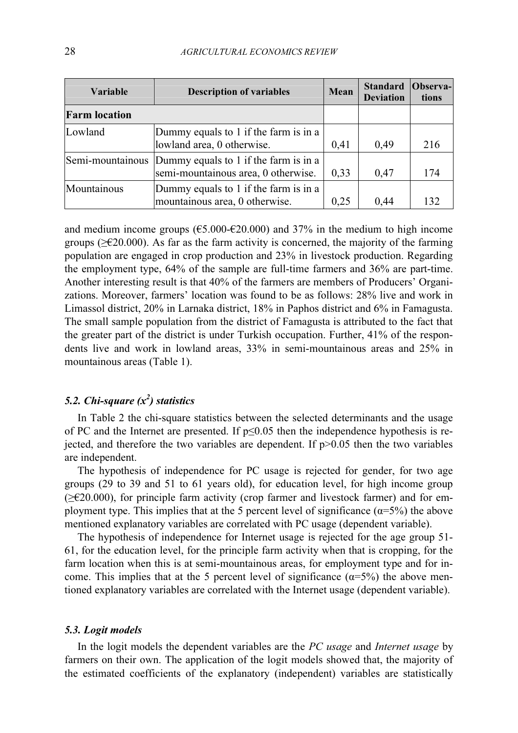| Variable             | <b>Description of variables</b>                                                               | Mean | <b>Standard</b><br><b>Deviation</b> | <b>Observa-</b><br>tions |
|----------------------|-----------------------------------------------------------------------------------------------|------|-------------------------------------|--------------------------|
| <b>Farm location</b> |                                                                                               |      |                                     |                          |
| Lowland              | Dummy equals to 1 if the farm is in a<br>lowland area, 0 otherwise.                           | 0,41 | 0,49                                | 216                      |
|                      | Semi-mountainous Dummy equals to 1 if the farm is in a<br>semi-mountainous area, 0 otherwise. | 0,33 | 0,47                                | 174                      |
| Mountainous          | Dummy equals to 1 if the farm is in a<br>mountainous area, 0 otherwise.                       | 0,25 | 0,44                                | 132                      |

and medium income groups ( $\epsilon$ 5.000- $\epsilon$ 20.000) and 37% in the medium to high income groups ( $\geq 20.000$ ). As far as the farm activity is concerned, the majority of the farming population are engaged in crop production and 23% in livestock production. Regarding the employment type, 64% of the sample are full-time farmers and 36% are part-time. Another interesting result is that 40% of the farmers are members of Producers' Organizations. Moreover, farmers' location was found to be as follows: 28% live and work in Limassol district, 20% in Larnaka district, 18% in Paphos district and 6% in Famagusta. The small sample population from the district of Famagusta is attributed to the fact that the greater part of the district is under Turkish occupation. Further, 41% of the respondents live and work in lowland areas, 33% in semi-mountainous areas and 25% in mountainous areas (Table 1).

# 5.2. Chi-square  $(x^2)$  statistics

 In Table 2 the chi-square statistics between the selected determinants and the usage of PC and the Internet are presented. If  $p \le 0.05$  then the independence hypothesis is rejected, and therefore the two variables are dependent. If  $p > 0.05$  then the two variables are independent.

 The hypothesis of independence for PC usage is rejected for gender, for two age groups (29 to 39 and 51 to 61 years old), for education level, for high income group (≥€20.000), for principle farm activity (crop farmer and livestock farmer) and for employment type. This implies that at the 5 percent level of significance ( $\alpha$ =5%) the above mentioned explanatory variables are correlated with PC usage (dependent variable).

 The hypothesis of independence for Internet usage is rejected for the age group 51- 61, for the education level, for the principle farm activity when that is cropping, for the farm location when this is at semi-mountainous areas, for employment type and for income. This implies that at the 5 percent level of significance  $(\alpha = 5\%)$  the above mentioned explanatory variables are correlated with the Internet usage (dependent variable).

#### 5.3. Logit models

In the logit models the dependent variables are the PC usage and Internet usage by farmers on their own. The application of the logit models showed that, the majority of the estimated coefficients of the explanatory (independent) variables are statistically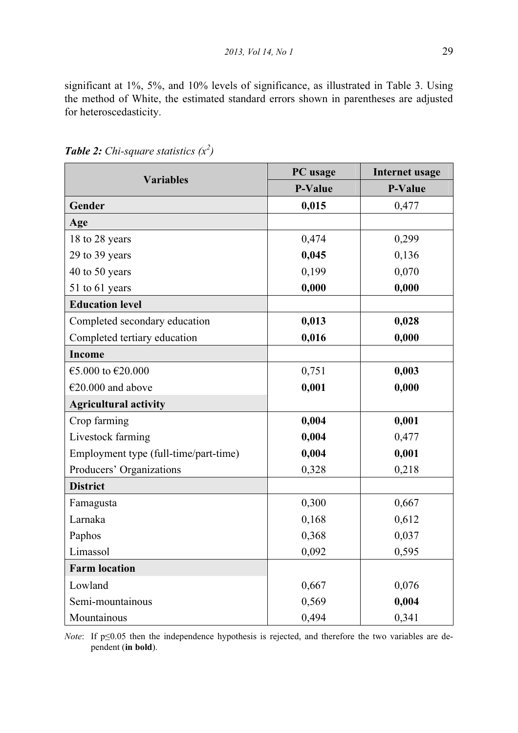significant at 1%, 5%, and 10% levels of significance, as illustrated in Table 3. Using the method of White, the estimated standard errors shown in parentheses are adjusted for heteroscedasticity.

| <b>Variables</b>                      | PC usage       | <b>Internet usage</b> |
|---------------------------------------|----------------|-----------------------|
|                                       | <b>P-Value</b> | <b>P-Value</b>        |
| Gender                                | 0,015          | 0,477                 |
| Age                                   |                |                       |
| 18 to 28 years                        | 0,474          | 0,299                 |
| 29 to 39 years                        | 0,045          | 0,136                 |
| 40 to 50 years                        | 0,199          | 0,070                 |
| 51 to 61 years                        | 0,000          | 0,000                 |
| <b>Education level</b>                |                |                       |
| Completed secondary education         | 0,013          | 0,028                 |
| Completed tertiary education          | 0,016          | 0,000                 |
| <b>Income</b>                         |                |                       |
| €5.000 to €20.000                     | 0,751          | 0,003                 |
| $€20.000$ and above                   | 0,001          | 0,000                 |
| <b>Agricultural activity</b>          |                |                       |
| Crop farming                          | 0,004          | 0,001                 |
| Livestock farming                     | 0,004          | 0,477                 |
| Employment type (full-time/part-time) | 0,004          | 0,001                 |
| Producers' Organizations              | 0,328          | 0,218                 |
| <b>District</b>                       |                |                       |
| Famagusta                             | 0,300          | 0,667                 |
| Larnaka                               | 0,168          | 0,612                 |
| Paphos                                | 0,368          | 0,037                 |
| Limassol                              | 0,092          | 0,595                 |
| <b>Farm location</b>                  |                |                       |
| Lowland                               | 0,667          | 0,076                 |
| Semi-mountainous                      | 0,569          | 0,004                 |
| Mountainous                           | 0,494          | 0,341                 |

**Table 2:** Chi-square statistics  $(x^2)$ 

*Note*: If  $p \le 0.05$  then the independence hypothesis is rejected, and therefore the two variables are dependent (in bold).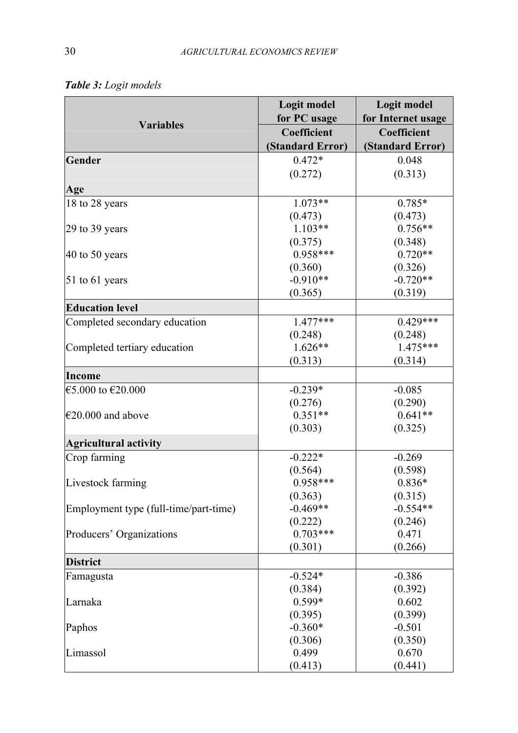|                                       | Logit model<br>for PC usage | Logit model<br>for Internet usage |
|---------------------------------------|-----------------------------|-----------------------------------|
| <b>Variables</b>                      | Coefficient                 | Coefficient                       |
|                                       | (Standard Error)            | (Standard Error)                  |
| Gender                                | $0.472*$                    | 0.048                             |
|                                       | (0.272)                     | (0.313)                           |
| Age                                   |                             |                                   |
| 18 to 28 years                        | $1.073**$                   | $0.785*$                          |
|                                       | (0.473)                     | (0.473)                           |
| 29 to 39 years                        | $1.103**$                   | $0.756**$                         |
|                                       | (0.375)                     | (0.348)                           |
| 40 to 50 years                        | $0.958***$                  | $0.720**$                         |
|                                       | (0.360)                     | (0.326)                           |
| 51 to 61 years                        | $-0.910**$                  | $-0.720**$                        |
|                                       | (0.365)                     | (0.319)                           |
| <b>Education level</b>                |                             |                                   |
| Completed secondary education         | $1.477***$                  | $0.429***$                        |
|                                       | (0.248)                     | (0.248)                           |
| Completed tertiary education          | $1.626**$                   | $1.475***$                        |
|                                       | (0.313)                     | (0.314)                           |
| Income                                |                             |                                   |
| €5.000 to €20.000                     | $-0.239*$                   | $-0.085$                          |
|                                       | (0.276)                     | (0.290)                           |
| €20.000 and above                     | $0.351**$                   | $0.641**$                         |
|                                       | (0.303)                     | (0.325)                           |
| <b>Agricultural activity</b>          |                             |                                   |
| Crop farming                          | $-0.222*$                   | $-0.269$                          |
|                                       | (0.564)                     | (0.598)                           |
| Livestock farming                     | $0.958***$                  | $0.836*$                          |
|                                       | (0.363)                     | (0.315)                           |
| Employment type (full-time/part-time) | $-0.469**$                  | $-0.554**$                        |
|                                       | (0.222)                     | (0.246)                           |
| Producers' Organizations              | $0.703***$                  | 0.471                             |
|                                       | (0.301)                     | (0.266)                           |
| <b>District</b>                       |                             |                                   |
| Famagusta                             | $-0.524*$                   | $-0.386$                          |
|                                       | (0.384)                     | (0.392)                           |
| Larnaka                               | $0.599*$                    | 0.602                             |
|                                       | (0.395)                     | (0.399)                           |
| Paphos                                | $-0.360*$                   | $-0.501$                          |
|                                       | (0.306)                     | (0.350)                           |
| Limassol                              | 0.499                       | 0.670                             |
|                                       | (0.413)                     | (0.441)                           |

Table 3: Logit models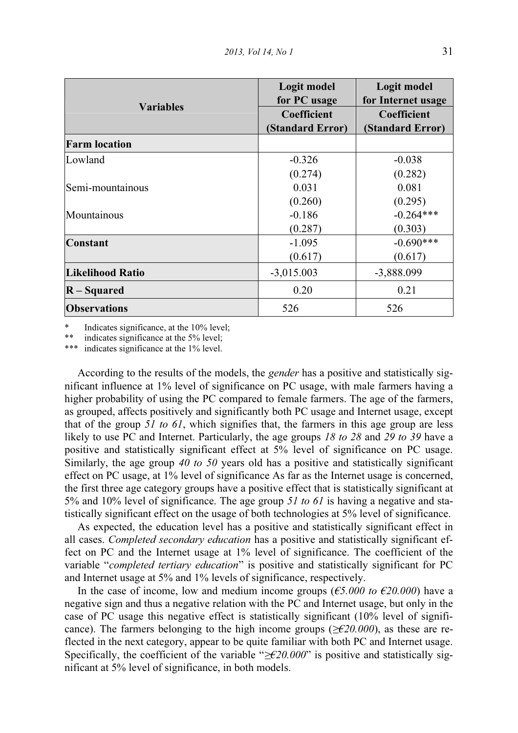|                         | Logit model<br>for PC usage | Logit model<br>for Internet usage |
|-------------------------|-----------------------------|-----------------------------------|
| <b>Variables</b>        | Coefficient                 | Coefficient                       |
|                         | (Standard Error)            | (Standard Error)                  |
| <b>Farm location</b>    |                             |                                   |
| Lowland                 | $-0.326$                    | $-0.038$                          |
|                         | (0.274)                     | (0.282)                           |
| Semi-mountainous        | 0.031                       | 0.081                             |
|                         | (0.260)                     | (0.295)                           |
| Mountainous             | $-0.186$                    | $-0.264***$                       |
|                         | (0.287)                     | (0.303)                           |
| <b>Constant</b>         | $-1.095$                    | $-0.690***$                       |
|                         | (0.617)                     | (0.617)                           |
| <b>Likelihood Ratio</b> | $-3,015.003$                | $-3,888.099$                      |
| $R-Squared$             | 0.20                        | 0.21                              |
| <b>Observations</b>     | 526                         | 526                               |

\* Indicates significance, at the  $10\%$  level;<br>\*\* indicates significance at the  $5\%$  level;

indicates significance at the  $5\%$  level;

indicates significance at the  $1\%$  level.

 According to the results of the models, the gender has a positive and statistically significant influence at 1% level of significance on PC usage, with male farmers having a higher probability of using the PC compared to female farmers. The age of the farmers, as grouped, affects positively and significantly both PC usage and Internet usage, except that of the group 51 to 61, which signifies that, the farmers in this age group are less likely to use PC and Internet. Particularly, the age groups 18 to 28 and 29 to 39 have a positive and statistically significant effect at 5% level of significance on PC usage. Similarly, the age group 40 to 50 years old has a positive and statistically significant effect on PC usage, at 1% level of significance As far as the Internet usage is concerned, the first three age category groups have a positive effect that is statistically significant at 5% and 10% level of significance. The age group 51 to 61 is having a negative and statistically significant effect on the usage of both technologies at 5% level of significance.

 As expected, the education level has a positive and statistically significant effect in all cases. Completed secondary education has a positive and statistically significant effect on PC and the Internet usage at 1% level of significance. The coefficient of the variable "completed tertiary education" is positive and statistically significant for PC and Internet usage at 5% and 1% levels of significance, respectively.

In the case of income, low and medium income groups ( $\epsilon$ 5.000 to  $\epsilon$ 20.000) have a negative sign and thus a negative relation with the PC and Internet usage, but only in the case of PC usage this negative effect is statistically significant (10% level of significance). The farmers belonging to the high income groups ( $\geq \epsilon 20.000$ ), as these are reflected in the next category, appear to be quite familiar with both PC and Internet usage. Specifically, the coefficient of the variable " $\geq \epsilon 20.000$ " is positive and statistically significant at 5% level of significance, in both models.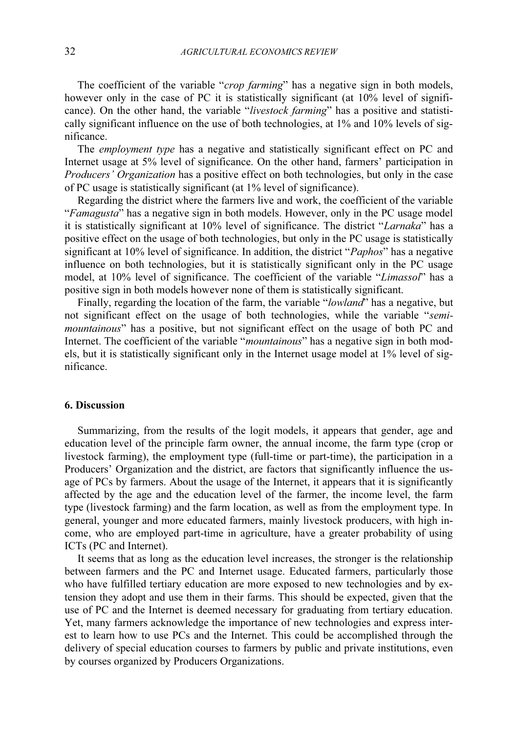The coefficient of the variable "crop farming" has a negative sign in both models, however only in the case of PC it is statistically significant (at 10% level of significance). On the other hand, the variable "livestock farming" has a positive and statistically significant influence on the use of both technologies, at 1% and 10% levels of significance.

The *employment type* has a negative and statistically significant effect on PC and Internet usage at 5% level of significance. On the other hand, farmers' participation in Producers' Organization has a positive effect on both technologies, but only in the case of PC usage is statistically significant (at 1% level of significance).

 Regarding the district where the farmers live and work, the coefficient of the variable "Famagusta" has a negative sign in both models. However, only in the PC usage model it is statistically significant at 10% level of significance. The district "Larnaka" has a positive effect on the usage of both technologies, but only in the PC usage is statistically significant at 10% level of significance. In addition, the district "*Paphos*" has a negative influence on both technologies, but it is statistically significant only in the PC usage model, at 10% level of significance. The coefficient of the variable "Limassol" has a positive sign in both models however none of them is statistically significant.

Finally, regarding the location of the farm, the variable "lowland" has a negative, but not significant effect on the usage of both technologies, while the variable "semimountainous" has a positive, but not significant effect on the usage of both PC and Internet. The coefficient of the variable "mountainous" has a negative sign in both models, but it is statistically significant only in the Internet usage model at 1% level of significance.

#### 6. Discussion

 Summarizing, from the results of the logit models, it appears that gender, age and education level of the principle farm owner, the annual income, the farm type (crop or livestock farming), the employment type (full-time or part-time), the participation in a Producers' Organization and the district, are factors that significantly influence the usage of PCs by farmers. About the usage of the Internet, it appears that it is significantly affected by the age and the education level of the farmer, the income level, the farm type (livestock farming) and the farm location, as well as from the employment type. In general, younger and more educated farmers, mainly livestock producers, with high income, who are employed part-time in agriculture, have a greater probability of using ICTs (PC and Internet).

 It seems that as long as the education level increases, the stronger is the relationship between farmers and the PC and Internet usage. Educated farmers, particularly those who have fulfilled tertiary education are more exposed to new technologies and by extension they adopt and use them in their farms. This should be expected, given that the use of PC and the Internet is deemed necessary for graduating from tertiary education. Yet, many farmers acknowledge the importance of new technologies and express interest to learn how to use PCs and the Internet. This could be accomplished through the delivery of special education courses to farmers by public and private institutions, even by courses organized by Producers Organizations.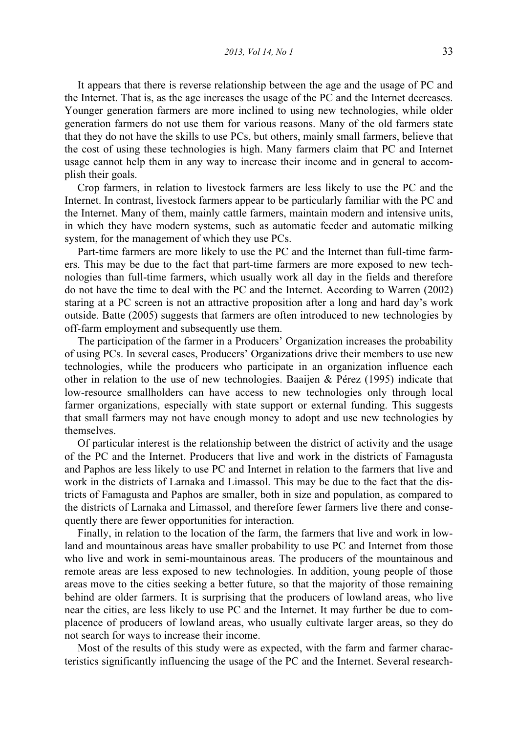2013, Vol 14, No 1 33

 It appears that there is reverse relationship between the age and the usage of PC and the Internet. That is, as the age increases the usage of the PC and the Internet decreases. Younger generation farmers are more inclined to using new technologies, while older generation farmers do not use them for various reasons. Many of the old farmers state that they do not have the skills to use PCs, but others, mainly small farmers, believe that the cost of using these technologies is high. Many farmers claim that PC and Internet usage cannot help them in any way to increase their income and in general to accomplish their goals.

 Crop farmers, in relation to livestock farmers are less likely to use the PC and the Internet. In contrast, livestock farmers appear to be particularly familiar with the PC and the Internet. Many of them, mainly cattle farmers, maintain modern and intensive units, in which they have modern systems, such as automatic feeder and automatic milking system, for the management of which they use PCs.

 Part-time farmers are more likely to use the PC and the Internet than full-time farmers. This may be due to the fact that part-time farmers are more exposed to new technologies than full-time farmers, which usually work all day in the fields and therefore do not have the time to deal with the PC and the Internet. According to Warren (2002) staring at a PC screen is not an attractive proposition after a long and hard day's work outside. Batte (2005) suggests that farmers are often introduced to new technologies by off-farm employment and subsequently use them.

 The participation of the farmer in a Producers' Organization increases the probability of using PCs. In several cases, Producers' Organizations drive their members to use new technologies, while the producers who participate in an organization influence each other in relation to the use of new technologies. Baaijen & Pérez (1995) indicate that low-resource smallholders can have access to new technologies only through local farmer organizations, especially with state support or external funding. This suggests that small farmers may not have enough money to adopt and use new technologies by themselves.

 Of particular interest is the relationship between the district of activity and the usage of the PC and the Internet. Producers that live and work in the districts of Famagusta and Paphos are less likely to use PC and Internet in relation to the farmers that live and work in the districts of Larnaka and Limassol. This may be due to the fact that the districts of Famagusta and Paphos are smaller, both in size and population, as compared to the districts of Larnaka and Limassol, and therefore fewer farmers live there and consequently there are fewer opportunities for interaction.

 Finally, in relation to the location of the farm, the farmers that live and work in lowland and mountainous areas have smaller probability to use PC and Internet from those who live and work in semi-mountainous areas. The producers of the mountainous and remote areas are less exposed to new technologies. In addition, young people of those areas move to the cities seeking a better future, so that the majority of those remaining behind are older farmers. It is surprising that the producers of lowland areas, who live near the cities, are less likely to use PC and the Internet. It may further be due to complacence of producers of lowland areas, who usually cultivate larger areas, so they do not search for ways to increase their income.

 Most of the results of this study were as expected, with the farm and farmer characteristics significantly influencing the usage of the PC and the Internet. Several research-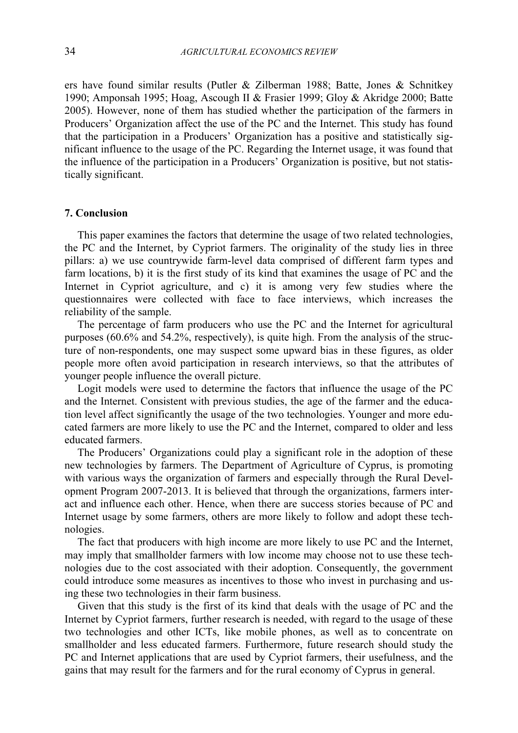ers have found similar results (Putler & Zilberman 1988; Batte, Jones & Schnitkey 1990; Amponsah 1995; Hoag, Ascough II & Frasier 1999; Gloy & Akridge 2000; Batte 2005). However, none of them has studied whether the participation of the farmers in Producers' Organization affect the use of the PC and the Internet. This study has found that the participation in a Producers' Organization has a positive and statistically significant influence to the usage of the PC. Regarding the Internet usage, it was found that the influence of the participation in a Producers' Organization is positive, but not statistically significant.

### 7. Conclusion

 This paper examines the factors that determine the usage of two related technologies, the PC and the Internet, by Cypriot farmers. The originality of the study lies in three pillars: a) we use countrywide farm-level data comprised of different farm types and farm locations, b) it is the first study of its kind that examines the usage of PC and the Internet in Cypriot agriculture, and c) it is among very few studies where the questionnaires were collected with face to face interviews, which increases the reliability of the sample.

 The percentage of farm producers who use the PC and the Internet for agricultural purposes (60.6% and 54.2%, respectively), is quite high. From the analysis of the structure of non-respondents, one may suspect some upward bias in these figures, as older people more often avoid participation in research interviews, so that the attributes of younger people influence the overall picture.

 Logit models were used to determine the factors that influence the usage of the PC and the Internet. Consistent with previous studies, the age of the farmer and the education level affect significantly the usage of the two technologies. Younger and more educated farmers are more likely to use the PC and the Internet, compared to older and less educated farmers.

 The Producers' Organizations could play a significant role in the adoption of these new technologies by farmers. The Department of Agriculture of Cyprus, is promoting with various ways the organization of farmers and especially through the Rural Development Program 2007-2013. It is believed that through the organizations, farmers interact and influence each other. Hence, when there are success stories because of PC and Internet usage by some farmers, others are more likely to follow and adopt these technologies.

 The fact that producers with high income are more likely to use PC and the Internet, may imply that smallholder farmers with low income may choose not to use these technologies due to the cost associated with their adoption. Consequently, the government could introduce some measures as incentives to those who invest in purchasing and using these two technologies in their farm business.

Given that this study is the first of its kind that deals with the usage of PC and the Internet by Cypriot farmers, further research is needed, with regard to the usage of these two technologies and other ICTs, like mobile phones, as well as to concentrate on smallholder and less educated farmers. Furthermore, future research should study the PC and Internet applications that are used by Cypriot farmers, their usefulness, and the gains that may result for the farmers and for the rural economy of Cyprus in general.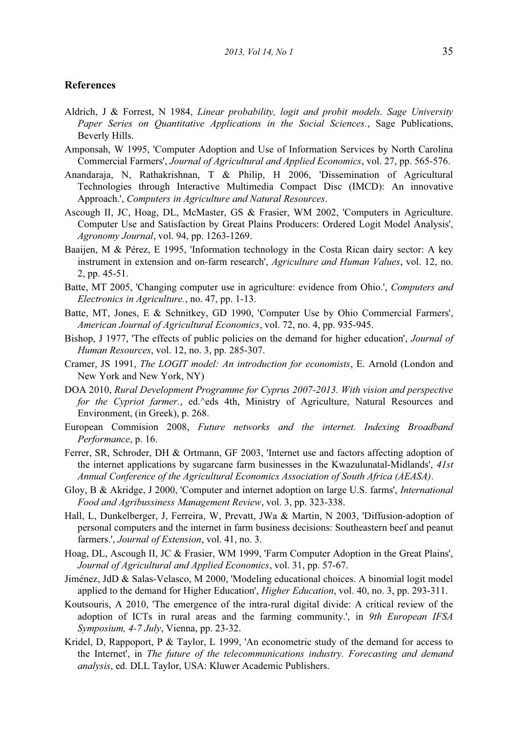### References

- Aldrich, J & Forrest, N 1984, Linear probability, logit and probit models. Sage University Paper Series on Quantitative Applications in the Social Sciences., Sage Publications, Beverly Hills.
- Amponsah, W 1995, 'Computer Adoption and Use of Information Services by North Carolina Commercial Farmers', Journal of Agricultural and Applied Economics, vol. 27, pp. 565-576.
- Anandaraja, N, Rathakrishnan, T & Philip, H 2006, 'Dissemination of Agricultural Technologies through Interactive Multimedia Compact Disc (IMCD): An innovative Approach.', Computers in Agriculture and Natural Resources.
- Ascough II, JC, Hoag, DL, McMaster, GS & Frasier, WM 2002, 'Computers in Agriculture. Computer Use and Satisfaction by Great Plains Producers: Ordered Logit Model Analysis', Agronomy Journal, vol. 94, pp. 1263-1269.
- Baaijen, M & Pérez, E 1995, 'Information technology in the Costa Rican dairy sector: A key instrument in extension and on-farm research', Agriculture and Human Values, vol. 12, no. 2, pp. 45-51.
- Batte, MT 2005, 'Changing computer use in agriculture: evidence from Ohio.', Computers and Electronics in Agriculture., no. 47, pp. 1-13.
- Batte, MT, Jones, E & Schnitkey, GD 1990, 'Computer Use by Ohio Commercial Farmers', American Journal of Agricultural Economics, vol. 72, no. 4, pp. 935-945.
- Bishop, J 1977, 'The effects of public policies on the demand for higher education', Journal of Human Resources, vol. 12, no. 3, pp. 285-307.
- Cramer, JS 1991, The LOGIT model: An introduction for economists, E. Arnold (London and New York and New York, NY)
- DOA 2010, Rural Development Programme for Cyprus 2007-2013. With vision and perspective for the Cypriot farmer., ed.^eds 4th, Ministry of Agriculture, Natural Resources and Environment, (in Greek), p. 268.
- European Commision 2008, Future networks and the internet. Indexing Broadband Performance, p. 16.
- Ferrer, SR, Schroder, DH & Ortmann, GF 2003, 'Internet use and factors affecting adoption of the internet applications by sugarcane farm businesses in the Kwazulunatal-Midlands', 41st Annual Conference of the Agricultural Economics Association of South Africa (AEASA).
- Gloy, B & Akridge, J 2000, 'Computer and internet adoption on large U.S. farms', International Food and Agribussiness Management Review, vol. 3, pp. 323-338.
- Hall, L, Dunkelberger, J, Ferreira, W, Prevatt, JWa & Martin, N 2003, 'Diffusion-adoption of personal computers and the internet in farm business decisions: Southeastern beef and peanut farmers.', Journal of Extension, vol. 41, no. 3.
- Hoag, DL, Ascough II, JC & Frasier, WM 1999, 'Farm Computer Adoption in the Great Plains', Journal of Agricultural and Applied Economics, vol. 31, pp. 57-67.
- Jiménez, JdD & Salas-Velasco, M 2000, 'Modeling educational choices. A binomial logit model applied to the demand for Higher Education', *Higher Education*, vol. 40, no. 3, pp. 293-311.
- Koutsouris, A 2010, 'The emergence of the intra-rural digital divide: A critical review of the adoption of ICTs in rural areas and the farming community.', in 9th European IFSA Symposium, 4-7 July, Vienna, pp. 23-32.
- Kridel, D, Rappoport, P & Taylor, L 1999, 'An econometric study of the demand for access to the Internet', in The future of the telecommunications industry. Forecasting and demand analysis, ed. DLL Taylor, USA: Kluwer Academic Publishers.